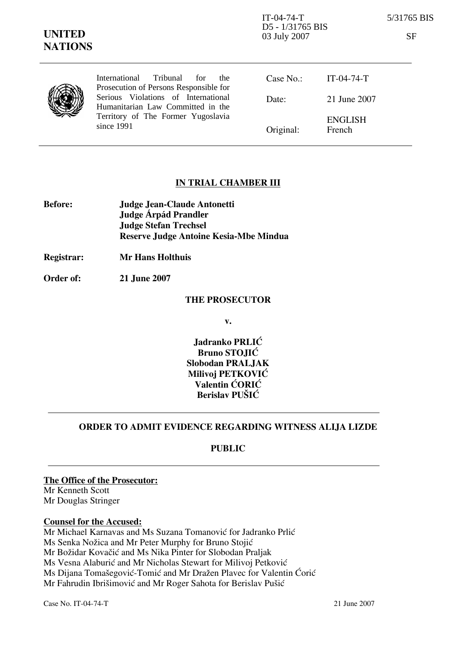IT-04-74-T 5/31765 BIS D5 - 1/31765 BIS 03 July 2007 SF

|  | International Tribunal for the<br>Prosecution of Persons Responsible for                                                     | Case No.: | $IT-04-74-T$             |
|--|------------------------------------------------------------------------------------------------------------------------------|-----------|--------------------------|
|  | Serious Violations of International<br>Humanitarian Law Committed in the<br>Territory of The Former Yugoslavia<br>since 1991 | Date:     | 21 June 2007             |
|  |                                                                                                                              | Original: | <b>ENGLISH</b><br>French |

## IN TRIAL CHAMBER III

| <b>Before:</b> | <b>Judge Jean-Claude Antonetti</b>     |
|----------------|----------------------------------------|
|                | Judge Árpád Prandler                   |
|                | <b>Judge Stefan Trechsel</b>           |
|                | Reserve Judge Antoine Kesia-Mbe Mindua |

Registrar: Mr Hans Holthuis

Order of: 21 June 2007

#### THE PROSECUTOR

v.

Jadranko PRLIĆ Bruno STOJIĆ Slobodan PRALJAK Milivoi PETKOVIĆ Valentin CORIC Berislav PUŠIĆ

## ORDER TO ADMIT EVIDENCE REGARDING WITNESS ALIJA LIZDE

### PUBLIC

The Office of the Prosecutor: Mr Kenneth Scott Mr Douglas Stringer

#### Counsel for the Accused:

Mr Michael Karnavas and Ms Suzana Tomanović for Jadranko Prlić Ms Senka Nožica and Mr Peter Murphy for Bruno Stojić Mr Božidar Kovačić and Ms Nika Pinter for Slobodan Praljak Ms Vesna Alaburić and Mr Nicholas Stewart for Milivoj Petković Ms Dijana Tomašegović-Tomić and Mr Dražen Plavec for Valentin Ćorić Mr Fahrudin Ibrišimović and Mr Roger Sahota for Berislav Pušić

Case No. IT-04-74-T 21 June 2007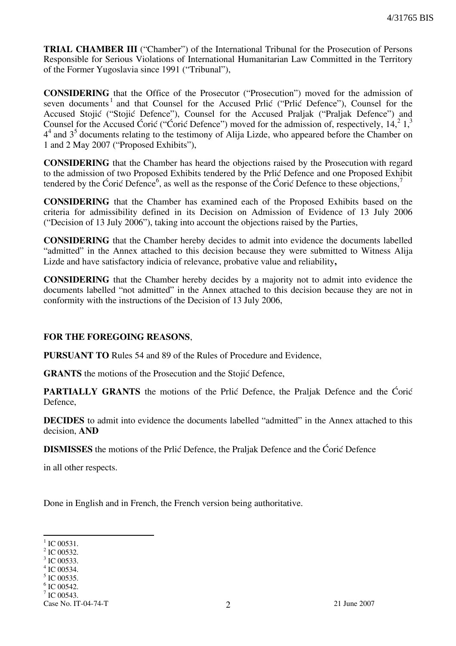TRIAL CHAMBER III ("Chamber") of the International Tribunal for the Prosecution of Persons Responsible for Serious Violations of International Humanitarian Law Committed in the Territory of the Former Yugoslavia since 1991 ("Tribunal"),

CONSIDERING that the Office of the Prosecutor ("Prosecution") moved for the admission of seven documents<sup>1</sup> and that Counsel for the Accused Prlić ("Prlić Defence"), Counsel for the Accused Stojić ("Stojić Defence"), Counsel for the Accused Praljak ("Praljak Defence") and Counsel for the Accused Ćorić ("Ćorić Defence") moved for the admission of, respectively,  $14,^2 1,^3$  $4<sup>4</sup>$  and  $3<sup>5</sup>$  documents relating to the testimony of Alija Lizde, who appeared before the Chamber on 1 and 2 May 2007 ("Proposed Exhibits"),

CONSIDERING that the Chamber has heard the objections raised by the Prosecution with regard to the admission of two Proposed Exhibits tendered by the Prlić Defence and one Proposed Exhibit tendered by the Ćorić Defence<sup>6</sup>, as well as the response of the Ćorić Defence to these objections,<sup>7</sup>

CONSIDERING that the Chamber has examined each of the Proposed Exhibits based on the criteria for admissibility defined in its Decision on Admission of Evidence of 13 July 2006 ("Decision of 13 July 2006"), taking into account the objections raised by the Parties,

CONSIDERING that the Chamber hereby decides to admit into evidence the documents labelled "admitted" in the Annex attached to this decision because they were submitted to Witness Alija Lizde and have satisfactory indicia of relevance, probative value and reliability,

CONSIDERING that the Chamber hereby decides by a majority not to admit into evidence the documents labelled "not admitted" in the Annex attached to this decision because they are not in conformity with the instructions of the Decision of 13 July 2006,

### FOR THE FOREGOING REASONS,

PURSUANT TO Rules 54 and 89 of the Rules of Procedure and Evidence,

**GRANTS** the motions of the Prosecution and the Stojić Defence,

**PARTIALLY GRANTS** the motions of the Prlic Defence, the Praljak Defence and the Ćorić Defence,

DECIDES to admit into evidence the documents labelled "admitted" in the Annex attached to this decision, AND

**DISMISSES** the motions of the Prlić Defence, the Praljak Defence and the Ćorić Defence

in all other respects.

Done in English and in French, the French version being authoritative.

 $\overline{a}$  $1^1$  IC 00531.

 $2$  IC 00532.

<sup>3</sup> IC 00533.

<sup>4</sup> IC 00534.

<sup>5</sup> IC 00535.

<sup>&</sup>lt;sup>6</sup> IC 00542.

 $7$  IC 00543.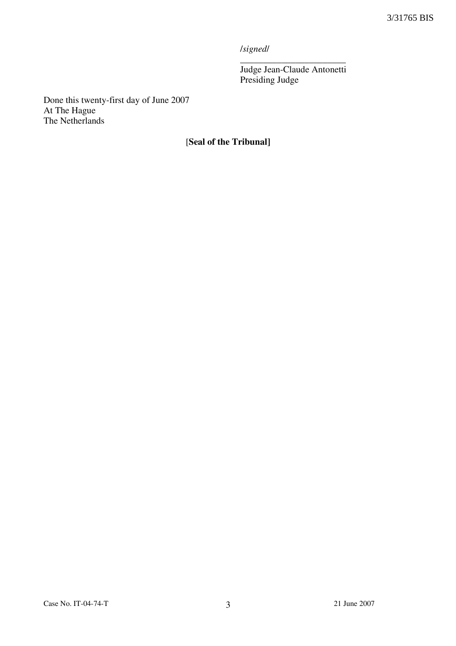/signed/

\_\_\_\_\_\_\_\_\_\_\_\_\_\_\_\_\_\_\_\_\_\_\_ Judge Jean-Claude Antonetti Presiding Judge

Done this twenty-first day of June 2007 At The Hague The Netherlands

# [Seal of the Tribunal]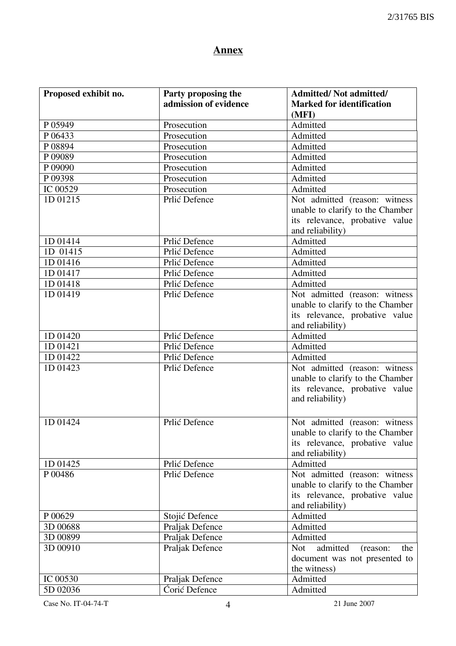# **Annex**

| Proposed exhibit no. | Party proposing the   | <b>Admitted/Not admitted/</b>             |
|----------------------|-----------------------|-------------------------------------------|
|                      | admission of evidence | <b>Marked for identification</b>          |
|                      |                       | (MFI)                                     |
| P 05949              | Prosecution           | Admitted                                  |
| P 06433              | Prosecution           | Admitted                                  |
| P08894               | Prosecution           | Admitted                                  |
| P09089               | Prosecution           | Admitted                                  |
| P 09090              | Prosecution           | Admitted                                  |
| P 09398              | Prosecution           | Admitted                                  |
| IC 00529             | Prosecution           | Admitted                                  |
| 1D 01215             | Prlić Defence         | Not admitted (reason: witness             |
|                      |                       | unable to clarify to the Chamber          |
|                      |                       | its relevance, probative value            |
|                      |                       | and reliability)                          |
| 1D 01414             | Prlić Defence         | Admitted                                  |
| 1D 01415             | Prlić Defence         | Admitted                                  |
| 1D 01416             | Prlić Defence         | Admitted                                  |
| 1D 01417             | Prlić Defence         | Admitted                                  |
| 1D 01418             | Prlić Defence         | Admitted                                  |
| 1D 01419             | Prlić Defence         | Not admitted (reason: witness             |
|                      |                       | unable to clarify to the Chamber          |
|                      |                       | its relevance, probative value            |
|                      |                       | and reliability)                          |
| 1D 01420             | Prlić Defence         | Admitted                                  |
| 1D 01421             | Prlić Defence         | Admitted                                  |
| 1D 01422             | Prlić Defence         | Admitted                                  |
| 1D 01423             | Prlić Defence         | Not admitted (reason: witness             |
|                      |                       | unable to clarify to the Chamber          |
|                      |                       | its relevance, probative value            |
|                      |                       | and reliability)                          |
|                      |                       |                                           |
| 1D 01424             | Prlić Defence         | Not admitted (reason: witness             |
|                      |                       | unable to clarify to the Chamber          |
|                      |                       | its relevance, probative value            |
|                      |                       | and reliability)                          |
| 1D 01425             | Prlić Defence         | Admitted                                  |
| P 00486              | Prlić Defence         | Not admitted (reason: witness             |
|                      |                       | unable to clarify to the Chamber          |
|                      |                       | its relevance, probative value            |
|                      |                       | and reliability)                          |
| P 00629              | Stojić Defence        | Admitted                                  |
| 3D 00688             | Praljak Defence       | Admitted                                  |
| 3D 00899             | Praljak Defence       | Admitted                                  |
| 3D 00910             | Praljak Defence       | <b>Not</b><br>admitted<br>(reason:<br>the |
|                      |                       | document was not presented to             |
|                      |                       | the witness)                              |
| IC 00530             | Praljak Defence       | Admitted                                  |
| 5D 02036             | Corić Defence         | Admitted                                  |

Case No. IT-04-74-T 4 21 June 2007